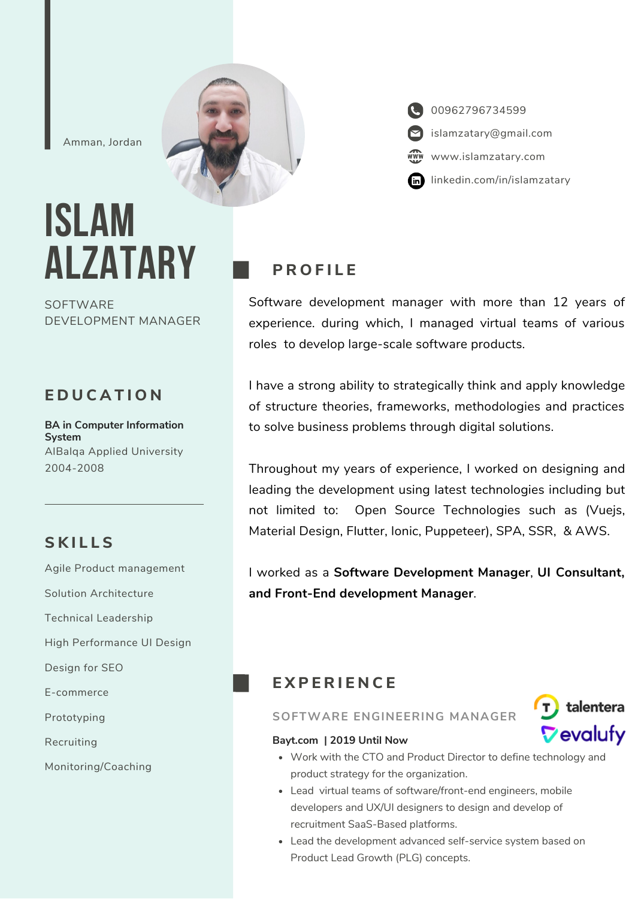Amman, Jordan

# **ISLAM ALZATARY**

**SOFTWARE** DEVELOPMENT MANAGER

## **E D U C A T I O N**

**BA in Computer Information System** AlBalqa Applied University 2004-2008

# **S K I L L S**

Agile Product management Solution Architecture Technical Leadership High Performance UI Design Design for SEO E-commerce Prototyping Recruiting Monitoring/Coaching

# **P R O F I L E**

Software development manager with more than 12 years of experience. during which, I managed virtual teams of various roles to develop large-scale software products.

I have a strong ability to strategically think and apply knowledge of structure theories, frameworks, methodologies and practices to solve business problems through digital solutions.

Throughout my years of experience, I worked on designing and leading the development using latest technologies including but not limited to: Open Source Technologies such as (Vuejs, Material Design, Flutter, Ionic, Puppeteer), SPA, SSR, & AWS.

I worked as a **Software Development Manager**, **UI Consultant, and Front-End development Manager**.

# **E X P E R I E N C E**

## **SOFTWARE ENGINEERING MANAGER**



## **Bayt.com | 2019 Until Now**

- Work with the CTO and Product Director to define technology and product strategy for the organization.
- Lead virtual teams of software/front-end engineers, mobile developers and UX/UI designers to design and develop of recruitment SaaS-Based platforms.
- Lead the development advanced self-service system based on Product Lead Growth (PLG) concepts.